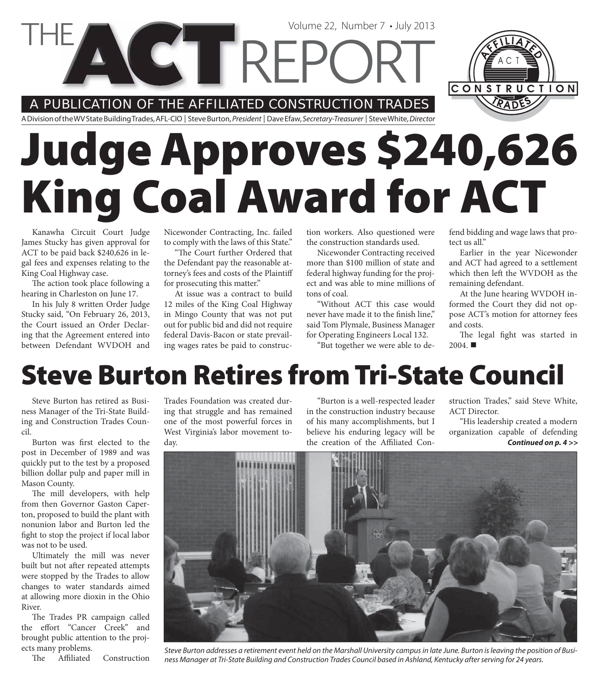A PUBLICATION OF THE AFFILIATED CONSTRUCTION TRADES

**COTREPC** 

A Division of the WV State Building Trades, AFL-CIO | Steve Burton, President | Dave Efaw, Secretary-Treasurer | Steve White, Director

# **Judge Approves \$240,626 King Coal Award for ACT**

Kanawha Circuit Court Judge James Stucky has given approval for ACT to be paid back \$240,626 in legal fees and expenses relating to the King Coal Highway case.

The action took place following a hearing in Charleston on June 17.

In his July 8 written Order Judge Stucky said, "On February 26, 2013, the Court issued an Order Declaring that the Agreement entered into between Defendant WVDOH and

Nicewonder Contracting, Inc. failed to comply with the laws of this State."

"The Court further Ordered that the Defendant pay the reasonable attorney's fees and costs of the Plaintiff for prosecuting this matter."

At issue was a contract to build 12 miles of the King Coal Highway in Mingo County that was not put out for public bid and did not require federal Davis-Bacon or state prevailing wages rates be paid to construc-

tion workers. Also questioned were the construction standards used.

Volume 22, Number 7 • July 2013

Nicewonder Contracting received more than \$100 million of state and federal highway funding for the project and was able to mine millions of tons of coal.

"Without ACT this case would never have made it to the finish line," said Tom Plymale, Business Manager for Operating Engineers Local 132.

"But together we were able to de-

fend bidding and wage laws that protect us all."

CONSTRUCTION

Earlier in the year Nicewonder and ACT had agreed to a settlement which then left the WVDOH as the remaining defendant.

At the June hearing WVDOH informed the Court they did not oppose ACT's motion for attorney fees and costs.

The legal fight was started in  $2004.$ 

#### **Steve Burton Retires from Tri-State Council**

Steve Burton has retired as Business Manager of the Tri-State Building and Construction Trades Council.

Burton was first elected to the post in December of 1989 and was quickly put to the test by a proposed billion dollar pulp and paper mill in Mason County.

The mill developers, with help from then Governor Gaston Caperton, proposed to build the plant with nonunion labor and Burton led the fight to stop the project if local labor was not to be used.

Ultimately the mill was never built but not after repeated attempts were stopped by the Trades to allow changes to water standards aimed at allowing more dioxin in the Ohio River.

The Trades PR campaign called the effort "Cancer Creek" and brought public attention to the projects many problems.

The Affiliated Construction

Trades Foundation was created during that struggle and has remained one of the most powerful forces in West Virginia's labor movement today.

"Burton is a well-respected leader in the construction industry because of his many accomplishments, but I believe his enduring legacy will be the creation of the Affiliated Con-

struction Trades," said Steve White, ACT Director.

"His leadership created a modern organization capable of defending *Continued on p. 4 >>*



Steve Burton addresses a retirement event held on the Marshall University campus in late June. Burton is leaving the position of Business Manager at Tri-State Building and Construction Trades Council based in Ashland, Kentucky after serving for 24 years.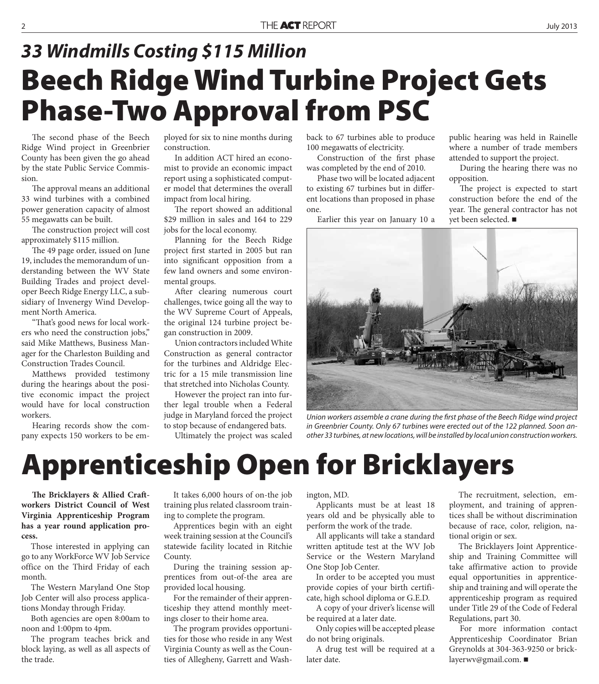### **Beech Ridge Wind Turbine Project Gets Phase-Two Approval from PSC** *33 Windmills Costing \$115 Million*

The second phase of the Beech Ridge Wind project in Greenbrier County has been given the go ahead by the state Public Service Commission.

The approval means an additional 33 wind turbines with a combined power generation capacity of almost 55 megawatts can be built.

The construction project will cost approximately \$115 million.

The 49 page order, issued on June 19, includes the memorandum of understanding between the WV State Building Trades and project developer Beech Ridge Energy LLC, a subsidiary of Invenergy Wind Development North America.

"That's good news for local workers who need the construction jobs," said Mike Matthews, Business Manager for the Charleston Building and Construction Trades Council.

Matthews provided testimony during the hearings about the positive economic impact the project would have for local construction workers.

Hearing records show the company expects 150 workers to be employed for six to nine months during construction.

In addition ACT hired an economist to provide an economic impact report using a sophisticated computer model that determines the overall impact from local hiring.

The report showed an additional \$29 million in sales and 164 to 229 jobs for the local economy.

Planning for the Beech Ridge project first started in 2005 but ran into significant opposition from a few land owners and some environmental groups.

After clearing numerous court challenges, twice going all the way to the WV Supreme Court of Appeals, the original 124 turbine project began construction in 2009.

Union contractors included White Construction as general contractor for the turbines and Aldridge Electric for a 15 mile transmission line that stretched into Nicholas County.

However the project ran into further legal trouble when a Federal judge in Maryland forced the project to stop because of endangered bats.

Ultimately the project was scaled

back to 67 turbines able to produce 100 megawatts of electricity.

Construction of the first phase was completed by the end of 2010.

Phase two will be located adjacent to existing 67 turbines but in different locations than proposed in phase one.

Earlier this year on January 10 a

public hearing was held in Rainelle where a number of trade members attended to support the project.

During the hearing there was no opposition.

The project is expected to start construction before the end of the year. The general contractor has not yet been selected. ■



Union workers assemble a crane during the first phase of the Beech Ridge wind project in Greenbrier County. Only 67 turbines were erected out of the 122 planned. Soon another 33 turbines, at new locations, will be installed by local union construction workers.

#### **Apprenticeship Open for Bricklayers**

**The Bricklayers & Allied Craftworkers District Council of West Virginia Apprenticeship Program has a year round application process.**

Those interested in applying can go to any WorkForce WV Job Service office on the Third Friday of each month.

The Western Maryland One Stop Job Center will also process applications Monday through Friday.

Both agencies are open 8:00am to noon and 1:00pm to 4pm.

The program teaches brick and block laying, as well as all aspects of the trade.

It takes 6,000 hours of on-the job training plus related classroom training to complete the program.

Apprentices begin with an eight week training session at the Council's statewide facility located in Ritchie County.

During the training session apprentices from out-of-the area are provided local housing.

For the remainder of their apprenticeship they attend monthly meetings closer to their home area.

The program provides opportunities for those who reside in any West Virginia County as well as the Counties of Allegheny, Garrett and Washington, MD.

Applicants must be at least 18 years old and be physically able to perform the work of the trade.

All applicants will take a standard written aptitude test at the WV Job Service or the Western Maryland One Stop Job Center.

In order to be accepted you must provide copies of your birth certificate, high school diploma or G.E.D.

A copy of your driver's license will be required at a later date.

Only copies will be accepted please do not bring originals.

A drug test will be required at a later date.

The recruitment, selection, employment, and training of apprentices shall be without discrimination because of race, color, religion, national origin or sex.

The Bricklayers Joint Apprenticeship and Training Committee will take affirmative action to provide equal opportunities in apprenticeship and training and will operate the apprenticeship program as required under Title 29 of the Code of Federal Regulations, part 30.

For more information contact Apprenticeship Coordinator Brian Greynolds at 304-363-9250 or bricklayerwv@gmail.com.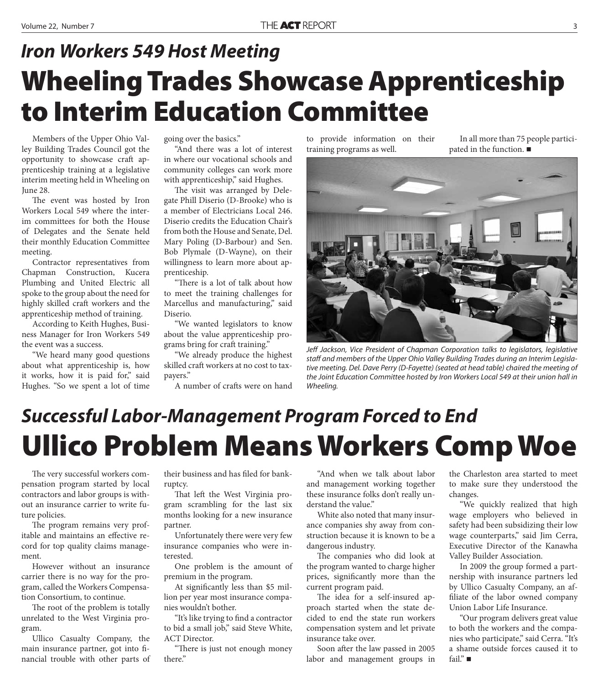### **Wheeling Trades Showcase Apprenticeship to Interim Education Committee** *Iron Workers 549 Host Meeting*

Members of the Upper Ohio Valley Building Trades Council got the opportunity to showcase craft apprenticeship training at a legislative interim meeting held in Wheeling on June 28.

The event was hosted by Iron Workers Local 549 where the interim committees for both the House of Delegates and the Senate held their monthly Education Committee meeting.

Contractor representatives from Chapman Construction, Kucera Plumbing and United Electric all spoke to the group about the need for highly skilled craft workers and the apprenticeship method of training.

According to Keith Hughes, Business Manager for Iron Workers 549 the event was a success.

"We heard many good questions about what apprenticeship is, how it works, how it is paid for," said Hughes. "So we spent a lot of time

going over the basics."

"And there was a lot of interest in where our vocational schools and community colleges can work more with apprenticeship," said Hughes.

The visit was arranged by Delegate Phill Diserio (D-Brooke) who is a member of Electricians Local 246. Diserio credits the Education Chair's from both the House and Senate, Del. Mary Poling (D-Barbour) and Sen. Bob Plymale (D-Wayne), on their willingness to learn more about apprenticeship.

"There is a lot of talk about how to meet the training challenges for Marcellus and manufacturing," said Diserio.

"We wanted legislators to know about the value apprenticeship programs bring for craft training."

"We already produce the highest skilled craft workers at no cost to taxpayers."

A number of crafts were on hand

to provide information on their training programs as well.

In all more than 75 people participated in the function.



Jeff Jackson, Vice President of Chapman Corporation talks to legislators, legislative staff and members of the Upper Ohio Valley Building Trades during an Interim Legislative meeting. Del. Dave Perry (D-Fayette) (seated at head table) chaired the meeting of the Joint Education Committee hosted by Iron Workers Local 549 at their union hall in Wheeling.

#### **Ullico Problem Means Workers Comp Woe** *Successful Labor-Management Program Forced to End*

The very successful workers compensation program started by local contractors and labor groups is without an insurance carrier to write future policies.

The program remains very profitable and maintains an effective record for top quality claims management.

However without an insurance carrier there is no way for the program, called the Workers Compensation Consortium, to continue.

The root of the problem is totally unrelated to the West Virginia program.

Ullico Casualty Company, the main insurance partner, got into financial trouble with other parts of

their business and has filed for bankruptcy.

That left the West Virginia program scrambling for the last six months looking for a new insurance partner.

Unfortunately there were very few insurance companies who were interested.

One problem is the amount of premium in the program.

At significantly less than \$5 million per year most insurance companies wouldn't bother.

"It's like trying to find a contractor to bid a small job," said Steve White, ACT Director.

"There is just not enough money there."

"And when we talk about labor and management working together these insurance folks don't really understand the value."

White also noted that many insurance companies shy away from construction because it is known to be a dangerous industry.

The companies who did look at the program wanted to charge higher prices, significantly more than the current program paid.

The idea for a self-insured approach started when the state decided to end the state run workers compensation system and let private insurance take over.

Soon after the law passed in 2005 labor and management groups in the Charleston area started to meet to make sure they understood the changes.

"We quickly realized that high wage employers who believed in safety had been subsidizing their low wage counterparts," said Jim Cerra, Executive Director of the Kanawha Valley Builder Association.

In 2009 the group formed a partnership with insurance partners led by Ullico Casualty Company, an affiliate of the labor owned company Union Labor Life Insurance.

"Our program delivers great value to both the workers and the companies who participate," said Cerra. "It's a shame outside forces caused it to fail." ■